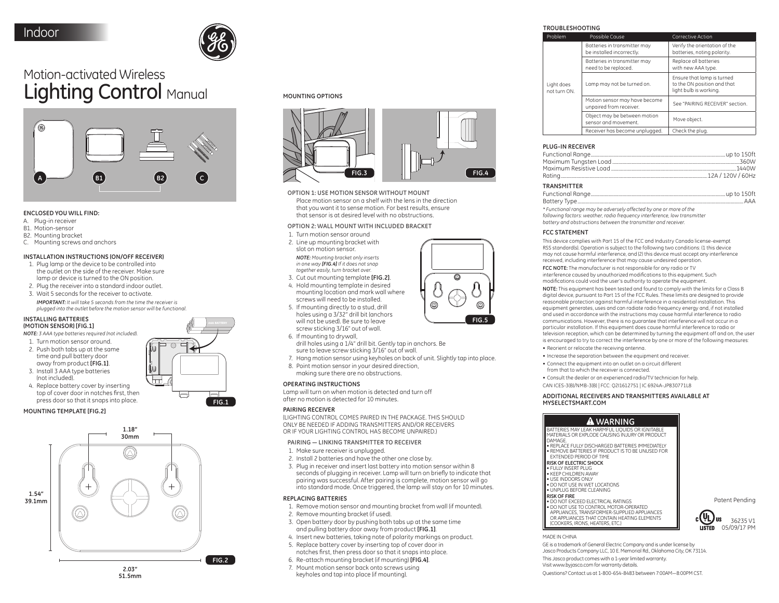

**FIG.1**

∩

l۸ hН

# Motion-activated Wireless Lighting Control Manual



### **ENCLOSED YOU WILL FIND:**

- A. Plug-in receiver
- B1. Motion-sensor
- B2. Mounting bracket
- C. Mounting screws and anchors

### **INSTALLATION INSTRUCTIONS (ON/OFF RECEIVER)**

- 1. Plug lamp or the device to be controlled into the outlet on the side of the receiver. Make sure lamp or device is turned to the ON position.
- 2. Plug the receiver into a standard indoor outlet.
- 3. Wait 5 seconds for the receiver to activate. *IMPORTANT: It will take 5 seconds from the time the receiver is*
- *plugged into the outlet before the motion sensor will be functional.*

#### **INSTALLING BATTERIES (MOTION SENSOR) [FIG.1]**

*NOTE: 3 AAA type batteries required (not included).*

- 1. Turn motion sensor around. 2. Push both tabs up at the same time and pull battery door away from product **[FIG.1]**.
- 3. Install 3 AAA type batteries (not included).
- 4. Replace battery cover by inserting top of cover door in notches first, then press door so that it snaps into place.

# **MOUNTING TEMPLATE [FIG.2]**



**MOUNTING OPTIONS**



**OPTION 1: USE MOTION SENSOR WITHOUT MOUNT**

Place motion sensor on a shelf with the lens in the direction that you want it to sense motion. For best results, ensure that sensor is at desired level with no obstructions.

# **OPTION 2: WALL MOUNT WITH INCLUDED BRACKET**

- 1. Turn motion sensor around
- 2. Line up mounting bracket with slot on motion sensor. *NOTE: Mounting bracket only inserts in one way [FIG.4] If it does not snap together easily, turn bracket over.*
- 3. Cut out mounting template **[FIG.2]**.
- 4. Hold mounting template in desired mounting location and mark wall where screws will need to be installed.
- holes using a 3/32" drill bit (anchors will not be used). Be sure to leave screw sticking 3/16" out of wall.
- drill holes using a 1/4" drill bit. Gently tap in anchors. Be sure to leave screw sticking 3/16" out of wall
- 
- 8. Point motion sensor in your desired direction, making sure there are no obstructions

### **OPERATING INSTRUCTIONS**

Lamp will turn on when motion is detected and turn off after no motion is detected for 10 minutes.

### **PAIRING RECEIVER**

(LIGHTING CONTROL COMES PAIRED IN THE PACKAGE. THIS SHOULD ONLY BE NEEDED IF ADDING TRANSMITTERS AND/OR RECEIVERS OR IF YOUR LIGHTING CONTROL HAS BECOME UNPAIRED.)

### **PAIRING — LINKING TRANSMITTER TO RECEIVER**

- 1. Make sure receiver is unplugged.
- 2. Install 2 batteries and have the other one close by.
- 3. Plug in receiver and insert last battery into motion sensor within 8 seconds of plugging in receiver. Lamp will turn on briefly to indicate that pairing was successful. After pairing is complete, motion sensor will go into standard mode. Once triggered, the lamp will stay on for 10 minutes.

### **REPLACING BATTERIES**

- 1. Remove motion sensor and mounting bracket from wall (if mounted).
- 2. Remove mounting bracket (if used).
- 3. Open battery door by pushing both tabs up at the same time and pulling battery door away from product **[FIG.1]**.
- 4. Insert new batteries, taking note of polarity markings on product.
- 5. Replace battery cover by inserting top of cover door in
- notches first, then press door so that it snaps into place.
- 6. Re-attach mounting bracket (if mounting) **[FIG.4]**.
- 7. Mount motion sensor back onto screws using keyholes and tap into place (if mounting).

### **TROUBLESHOOTING**

| Problem                    | Possible Cause                                            | Corrective Action                                                                   |
|----------------------------|-----------------------------------------------------------|-------------------------------------------------------------------------------------|
| Light does<br>not turn ON. | Batteries in transmitter may<br>be installed incorrectly. | Verify the orientation of the<br>batteries, noting polarity.                        |
|                            | Batteries in transmitter may<br>need to be replaced.      | Replace all batteries<br>with new AAA type.                                         |
|                            | Lamp may not be turned on.                                | Ensure that lamp is turned<br>to the ON position and that<br>light bulb is working. |
|                            | Motion sensor may have become<br>unpaired from receiver.  | See "PAIRING RECEIVER" section.                                                     |
|                            | Object may be between motion<br>sensor and movement.      | Move object.                                                                        |
|                            | Receiver has become unpluaged.                            | Check the plua.                                                                     |

# **PLUG-IN RECEIVER**

### **TRANSMITTER**

*\* Functional range may be adversely affected by one or more of the following factors: weather, radio frequency interference, low transmitter battery and obstructions between the transmitter and receiver.*

### **FCC STATEMENT**

This device complies with Part 15 of the FCC and Industry Canada license-exempt RSS standard(s). Operation is subject to the following two conditions: (1 this device may not cause harmful interference, and (2) this device must accept any interference received, including interference that may cause undesired operation.

**FCC NOTE:** The manufacturer is not responsible for any radio or TV interference caused by unauthorized modifications to this equipment. Such modifications could void the user's authority to operate the equipment.

**NOTE:** This equipment has been tested and found to comply with the limits for a Class B digital device, pursuant to Part 15 of the FCC Rules. These limits are designed to provide reasonable protection against harmful interference in a residential installation. This equipment generates, uses and can radiate radio frequency energy and, if not installed and used in accordance with the instructions may cause harmful interference to radio communications. However, there is no guarantee that interference will not occur in a particular installation. If this equipment does cause harmful interference to radio or television reception, which can be determined by turning the equipment off and on, the user is encouraged to try to correct the interference by one or more of the following measures:

- Reorient or relocate the receiving antenna.
- Increase the separation between the equipment and receiver.
- Connect the equipment into an outlet on a circuit different from that to which the receiver is connected.
- Consult the dealer or an experienced radio/TV technician for help.
- CAN ICES-3(B)/NMB-3(B) | FCC: Q2I1612751 | IC 6924A-JP830771L8

### **ADDITIONAL RECEIVERS AND TRANSMITTERS AVAILABLE AT MYSELECTSMART.COM**

# **WARNING**

BATTERIES MAY LEAK HARMFUL LIQUIDS OR IGNITABLE MATERIALS OR EXPLODE CAUSING INJURY OR PRODUCT DAMAGE. • REPLACE FULLY DISCHARGED BATTERIES IMMEDIATELY

• REMOVE BATTERIES IF PRODUCT IS TO BE UNUSED FOR EXTENDED PERIOD OF TIME

#### **RISK OF ELECTRIC SHOCK** • FULLY INSERT PLUG

• KEEP CHILDREN AWAY • USE INDOORS ONLY

• DO NOT USE IN WET LOCATIONS • UNPLUG BEFORE CLEANING

**RISK OF FIRE**

• DO NOT EXCEED ELECTRICAL RATINGS • DO NOT USE TO CONTROL MOTOR-OPERATED APPLIANCES, TRANSFORMER-SUPPLIED APPLIANCES OR APPLIANCES THAT CONTAIN HEATING ELEMENTS (COOKERS, IRONS, HEATERS, ETC.)



Patent Pending

MADE IN CHINA

GE is a trademark of General Electric Company and is under license by Jasco Products Company LLC, 10 E. Memorial Rd., Oklahoma City, OK 73114. This Jasco product comes with a 1-year limited warranty. Visit www.byjasco.com for warranty details. Questions? Contact us at 1-800-654-8483 between 7:00AM—8:00PM CST.





- 
- 
- 6. If mounting to drywall,
	- 7. Hang motion sensor using keyholes on back of unit. Slightly tap into place.
- 



5. If mounting directly to a stud, drill